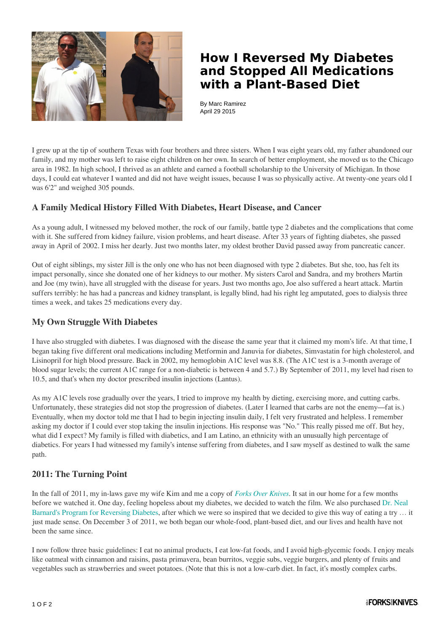

## **How I Reversed My Diabetes and Stopped All Medications with a Plant-Based Diet**

By Marc Ramirez April 29 2015

I grew up at the tip of southern Texas with four brothers and three sisters. When I was eight years old, my father abandoned our family, and my mother was left to raise eight children on her own. In search of better employment, she moved us to the Chicago area in 1982. In high school, I thrived as an athlete and earned a football scholarship to the University of Michigan. In those days, I could eat whatever I wanted and did not have weight issues, because I was so physically active. At twenty-one years old I was 6'2" and weighed 305 pounds.

### **A Family Medical History Filled With Diabetes, Heart Disease, and Cancer**

As a young adult, I witnessed my beloved mother, the rock of our family, battle type 2 diabetes and the complications that come with it. She suffered from kidney failure, vision problems, and heart disease. After 33 years of fighting diabetes, she passed away in April of 2002. I miss her dearly. Just two months later, my oldest brother David passed away from pancreatic cancer.

Out of eight siblings, my sister Jill is the only one who has not been diagnosed with type 2 diabetes. But she, too, has felt its impact personally, since she donated one of her kidneys to our mother. My sisters Carol and Sandra, and my brothers Martin and Joe (my twin), have all struggled with the disease for years. Just two months ago, Joe also suffered a heart attack. Martin suffers terribly: he has had a pancreas and kidney transplant, is legally blind, had his right leg amputated, goes to dialysis three times a week, and takes 25 medications every day.

#### **My Own Struggle With Diabetes**

I have also struggled with diabetes. I was diagnosed with the disease the same year that it claimed my mom's life. At that time, I began taking five different oral medications including Metformin and Januvia for diabetes, Simvastatin for high cholesterol, and Lisinopril for high blood pressure. Back in 2002, my hemoglobin A1C level was 8.8. (The A1C test is a 3-month average of blood sugar levels; the current A1C range for a non-diabetic is between 4 and 5.7.) By September of 2011, my level had risen to 10.5, and that's when my doctor prescribed insulin injections (Lantus).

As my A1C levels rose gradually over the years, I tried to improve my health by dieting, exercising more, and cutting carbs. Unfortunately, these strategies did not stop the progression of diabetes. (Later I learned that carbs are not the enemy—fat is.) Eventually, when my doctor told me that I had to begin injecting insulin daily, I felt very frustrated and helpless. I remember asking my doctor if I could ever stop taking the insulin injections. His response was "No." This really pissed me off. But hey, what did I expect? My family is filled with diabetics, and I am Latino, an ethnicity with an unusually high percentage of diabetics. For years I had witnessed my family's intense suffering from diabetes, and I saw myself as destined to walk the same path.

#### **2011: The Turning Point**

In the fall of 2011, my in-laws gave my wife Kim and me a copy of *[Forks Over Knives](http://www.forksoverknives.com/the-film/)*. It sat in our home for a few months before we watched it. One day, feeling hopeless about my diabetes, we decided to watch the film. We also purchased [Dr. Neal](http://www.amazon.com/gp/product/1491574933/ref=as_li_tl?ie=UTF8&camp=1789&creative=390957&creativeASIN=1491574933&linkCode=as2&tag=forovekni-20&linkId=CI4EVUZD47U5YTGY) [Barnard's Program for Reversing Diabetes,](http://www.amazon.com/gp/product/1491574933/ref=as_li_tl?ie=UTF8&camp=1789&creative=390957&creativeASIN=1491574933&linkCode=as2&tag=forovekni-20&linkId=CI4EVUZD47U5YTGY) after which we were so inspired that we decided to give this way of eating a try … it just made sense. On December 3 of 2011, we both began our whole-food, plant-based diet, and our lives and health have not been the same since.

I now follow three basic guidelines: I eat no animal products, I eat low-fat foods, and I avoid high-glycemic foods. I enjoy meals like oatmeal with cinnamon and raisins, pasta primavera, bean burritos, veggie subs, veggie burgers, and plenty of fruits and vegetables such as strawberries and sweet potatoes. (Note that this is not a low-carb diet. In fact, it's mostly complex carbs.